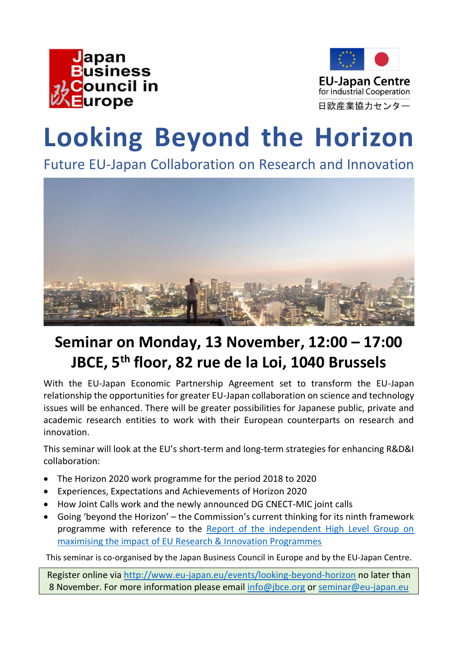



## **Looking Beyond the Horizon**

Future EU-Japan Collaboration on Research and Innovation



## **Seminar on Monday, 13 November, 12:00 – 17:00 JBCE, 5th floor, 82 rue de la Loi, 1040 Brussels**

With the EU-Japan Economic Partnership Agreement set to transform the EU-Japan relationship the opportunities for greater EU-Japan collaboration on science and technology issues will be enhanced. There will be greater possibilities for Japanese public, private and academic research entities to work with their European counterparts on research and innovation.

This seminar will look at the EU's short-term and long-term strategies for enhancing R&D&I collaboration:

- The Horizon 2020 work programme for the period 2018 to 2020
- Experiences, Expectations and Achievements of Horizon 2020
- How Joint Calls work and the newly announced DG CNECT-MIC joint calls
- Going 'beyond the Horizon' the Commission's current thinking for its ninth framework programme with reference to the [Report of the independent High Level Group on](http://ec.europa.eu/research/evaluations/pdf/archive/other_reports_studies_and_documents/hlg_2017_report.pdf)  [maximising the impact of EU Research & Innovation Programmes](http://ec.europa.eu/research/evaluations/pdf/archive/other_reports_studies_and_documents/hlg_2017_report.pdf)

This seminar is co-organised by the [Japan Business Council in Europe](http://www.jbce.org/) and by the EU-Japan Centre.

Register online via<http://www.eu-japan.eu/events/looking-beyond-horizon> no later than 8 November. For more information please email [info@jbce.org](mailto:info@jbce.org) or [seminar@eu-japan.eu](mailto:seminar@eu-japan.eu)